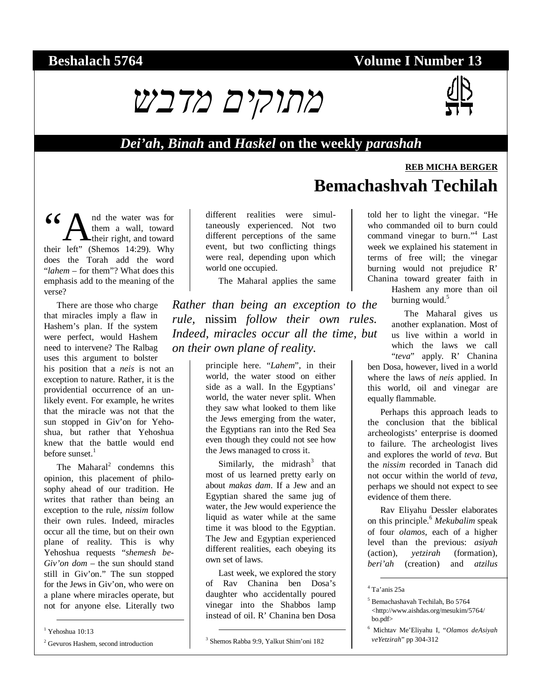#### **Beshalach 5764 Volume I Number 13**





#### *Dei'ah***,** *Binah* **and** *Haskel* **on the weekly** *parashah*

# **REB MICHA BERGER Bemachashvah Techilah**

nd the water was for them a wall, toward their right, and toward 66 M nd the water was for them a wall, toward their left" (Shemos 14:29). Why does the Torah add the word "*lahem* – for them"? What does this emphasis add to the meaning of the verse?

There are those who charge that miracles imply a flaw in Hashem's plan. If the system were perfect, would Hashem need to intervene? The Ralbag uses this argument to bolster his position that a *neis* is not an exception to nature. Rather, it is the providential occurrence of an unlikely event. For example, he writes that the miracle was not that the sun stopped in Giv'on for Yehoshua, but rather that Yehoshua knew that the battle would end before sunset. $1$ 

The Maharal<sup>2</sup> condemns this opinion, this placement of philosophy ahead of our tradition. He writes that rather than being an exception to the rule, *nissim* follow their own rules. Indeed, miracles occur all the time, but on their own plane of reality. This is why Yehoshua requests "*shemesh be-Giv'on dom* – the sun should stand still in Giv'on." The sun stopped for the Jews in Giv'on, who were on a plane where miracles operate, but not for anyone else. Literally two

# 1 Yehoshua 10:13

different realities were simultaneously experienced. Not two different perceptions of the same event, but two conflicting things were real, depending upon which world one occupied.

The Maharal applies the same

*Rather than being an exception to the rule,* nissim *follow their own rules. Indeed, miracles occur all the time, but on their own plane of reality.* 

> principle here. "*Lahem*", in their world, the water stood on either side as a wall. In the Egyptians' world, the water never split. When they saw what looked to them like the Jews emerging from the water, the Egyptians ran into the Red Sea even though they could not see how the Jews managed to cross it.

> Similarly, the midrash $3$  that most of us learned pretty early on about *makas dam*. If a Jew and an Egyptian shared the same jug of water, the Jew would experience the liquid as water while at the same time it was blood to the Egyptian. The Jew and Egyptian experienced different realities, each obeying its own set of laws.

> Last week, we explored the story of Rav Chanina ben Dosa's daughter who accidentally poured vinegar into the Shabbos lamp instead of oil. R' Chanina ben Dosa

told her to light the vinegar. "He who commanded oil to burn could command vinegar to burn."<sup>4</sup> Last week we explained his statement in terms of free will; the vinegar burning would not prejudice R' Chanina toward greater faith in Hashem any more than oil

burning would. $5$ The Maharal gives us

another explanation. Most of us live within a world in which the laws we call "*teva*" apply. R' Chanina

ben Dosa, however, lived in a world where the laws of *neis* applied. In this world, oil and vinegar are equally flammable.

Perhaps this approach leads to the conclusion that the biblical archeologists' enterprise is doomed to failure. The archeologist lives and explores the world of *teva*. But the *nissim* recorded in Tanach did not occur within the world of *teva*, perhaps we should not expect to see evidence of them there.

Rav Eliyahu Dessler elaborates on this principle.<sup>6</sup> *Mekubalim* speak of four *olamos*, each of a higher level than the previous: *asiyah* (action), *yetzirah* (formation), *beri'ah* (creation) and *atzilus*

4 Ta'anis 25a

<sup>2</sup> Gevuros Hashem, second introduction

 <sup>3</sup> Shemos Rabba 9:9, Yalkut Shim'oni 182

<sup>5</sup> Bemachashavah Techilah, Bo 5764 <http://www.aishdas.org/mesukim/5764/ bo.pdf>

<sup>6</sup> Michtav Me'Eliyahu I, "*Olamos deAsiyah veYetzirah*" pp 304-312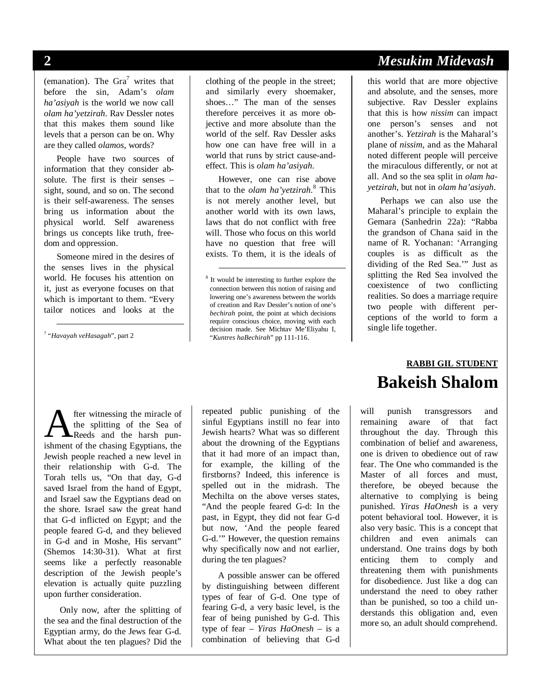(emanation). The  $Gra^7$  writes that before the sin, Adam's *olam ha'asiyah* is the world we now call *olam ha'yetzirah*. Rav Dessler notes that this makes them sound like levels that a person can be on. Why are they called *olamos*, words?

People have two sources of information that they consider absolute. The first is their senses – sight, sound, and so on. The second is their self-awareness. The senses bring us information about the physical world. Self awareness brings us concepts like truth, freedom and oppression.

Someone mired in the desires of the senses lives in the physical world. He focuses his attention on it, just as everyone focuses on that which is important to them. "Every tailor notices and looks at the

7 "*Havayah veHasagah*", part 2

clothing of the people in the street; and similarly every shoemaker, shoes…" The man of the senses therefore perceives it as more objective and more absolute than the world of the self. Rav Dessler asks how one can have free will in a world that runs by strict cause-andeffect. This is *olam ha'asiyah*.

However, one can rise above that to the *olam ha'yetzirah*. 8 This is not merely another level, but another world with its own laws, laws that do not conflict with free will. Those who focus on this world have no question that free will exists. To them, it is the ideals of

fter witnessing the miracle of the splitting of the Sea of **A** Reeds and the harsh pun**i** the splitting of the Sea of the splitting of the Sea of Reeds and the harsh punishment of the chasing Egyptians, the Jewish people reached a new level in their relationship with G-d. The Torah tells us, "On that day, G-d saved Israel from the hand of Egypt, and Israel saw the Egyptians dead on the shore. Israel saw the great hand that G-d inflicted on Egypt; and the people feared G-d, and they believed in G-d and in Moshe, His servant" (Shemos 14:30-31). What at first seems like a perfectly reasonable description of the Jewish people's elevation is actually quite puzzling upon further consideration.

Only now, after the splitting of the sea and the final destruction of the Egyptian army, do the Jews fear G-d. What about the ten plagues? Did the

repeated public punishing of the sinful Egyptians instill no fear into Jewish hearts? What was so different about the drowning of the Egyptians that it had more of an impact than, for example, the killing of the firstborns? Indeed, this inference is spelled out in the midrash. The Mechilta on the above verses states, "And the people feared G-d: In the past, in Egypt, they did not fear G-d but now, 'And the people feared G-d.'" However, the question remains why specifically now and not earlier, during the ten plagues?

A possible answer can be offered by distinguishing between different types of fear of G-d. One type of fearing G-d, a very basic level, is the fear of being punished by G-d. This type of fear – *Yiras HaOnesh* – is a combination of believing that G-d

### **2** *Mesukim Midevash*

this world that are more objective and absolute, and the senses, more subjective. Rav Dessler explains that this is how *nissim* can impact one person's senses and not another's. *Yetzirah* is the Maharal's plane of *nissim*, and as the Maharal noted different people will perceive the miraculous differently, or not at all. And so the sea split in *olam hayetzirah*, but not in *olam ha'asiyah*.

Perhaps we can also use the Maharal's principle to explain the Gemara (Sanhedrin 22a): "Rabba the grandson of Chana said in the name of R. Yochanan: 'Arranging couples is as difficult as the dividing of the Red Sea.'" Just as splitting the Red Sea involved the coexistence of two conflicting realities. So does a marriage require two people with different perceptions of the world to form a single life together.

#### **RABBI GIL STUDENT Bakeish Shalom**

will punish transgressors and remaining aware of that fact throughout the day. Through this combination of belief and awareness, one is driven to obedience out of raw fear. The One who commanded is the Master of all forces and must, therefore, be obeyed because the alternative to complying is being punished. *Yiras HaOnesh* is a very potent behavioral tool. However, it is also very basic. This is a concept that children and even animals can understand. One trains dogs by both enticing them to comply and threatening them with punishments for disobedience. Just like a dog can understand the need to obey rather than be punished, so too a child understands this obligation and, even more so, an adult should comprehend.

<sup>&</sup>lt;sup>8</sup> It would be interesting to further explore the connection between this notion of raising and lowering one's awareness between the worlds of creation and Rav Dessler's notion of one's *bechirah* point, the point at which decisions require conscious choice, moving with each decision made. See Michtav Me'Eliyahu I, "*Kuntres haBechirah*" pp 111-116.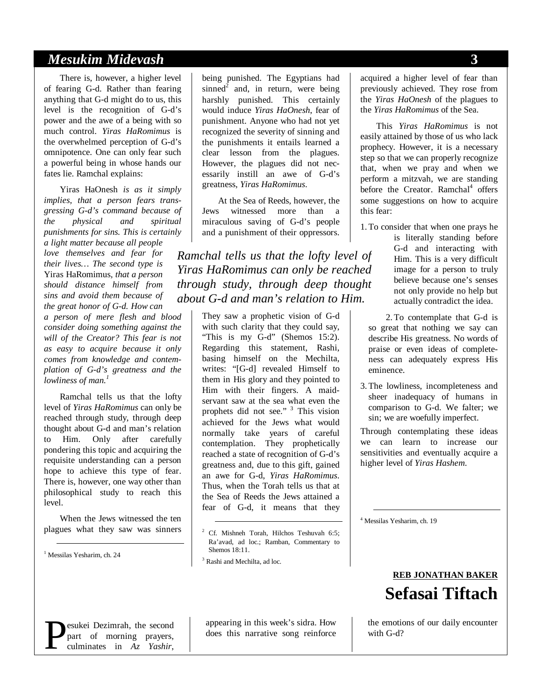#### *Mesukim Midevash* **3**

There is, however, a higher level of fearing G-d. Rather than fearing anything that G-d might do to us, this level is the recognition of G-d's power and the awe of a being with so much control. *Yiras HaRomimus* is the overwhelmed perception of G-d's omnipotence. One can only fear such a powerful being in whose hands our fates lie. Ramchal explains:

Yiras HaOnesh *is as it simply implies, that a person fears transgressing G-d's command because of the physical and spiritual punishments for sins. This is certainly a light matter because all people love themselves and fear for their lives… The second type is*  Yiras HaRomimus*, that a person should distance himself from sins and avoid them because of the great honor of G-d. How can a person of mere flesh and blood* 

*consider doing something against the will of the Creator? This fear is not as easy to acquire because it only comes from knowledge and contemplation of G-d's greatness and the lowliness of man.<sup>1</sup>*

Ramchal tells us that the lofty level of *Yiras HaRomimus* can only be reached through study, through deep thought about G-d and man's relation to Him. Only after carefully pondering this topic and acquiring the requisite understanding can a person hope to achieve this type of fear. There is, however, one way other than philosophical study to reach this level.

When the Jews witnessed the ten plagues what they saw was sinners

> esukei Dezimrah, the second part of morning prayers, culminates in *Az Yashir*,

1 Messilas Yesharim, ch. 24

being punished. The Egyptians had sinned<sup>2</sup> and, in return, were being harshly punished. This certainly would induce *Yiras HaOnesh*, fear of punishment. Anyone who had not yet recognized the severity of sinning and the punishments it entails learned a clear lesson from the plagues. However, the plagues did not necessarily instill an awe of G-d's greatness, *Yiras HaRomimus*.

At the Sea of Reeds, however, the Jews witnessed more than a miraculous saving of G-d's people and a punishment of their oppressors.

*Ramchal tells us that the lofty level of Yiras HaRomimus can only be reached through study, through deep thought about G-d and man's relation to Him.* 

> They saw a prophetic vision of G-d with such clarity that they could say, "This is my G-d" (Shemos 15:2). Regarding this statement, Rashi, basing himself on the Mechilta, writes: "[G-d] revealed Himself to them in His glory and they pointed to Him with their fingers. A maidservant saw at the sea what even the prophets did not see." 3 This vision achieved for the Jews what would normally take years of careful contemplation. They prophetically reached a state of recognition of G-d's greatness and, due to this gift, gained an awe for G-d, *Yiras HaRomimus*. Thus, when the Torah tells us that at the Sea of Reeds the Jews attained a fear of G-d, it means that they

<sup>3</sup> Rashi and Mechilta, ad loc.

appearing in this week's sidra. How does this narrative song reinforce **Example 3** estis Dezimrah, the second part of morning prayers, culminates in Az Yashir,

acquired a higher level of fear than previously achieved. They rose from the *Yiras HaOnesh* of the plagues to the *Yiras HaRomimus* of the Sea.

This *Yiras HaRomimus* is not easily attained by those of us who lack prophecy. However, it is a necessary step so that we can properly recognize that, when we pray and when we perform a mitzvah, we are standing before the Creator. Ramchal<sup>4</sup> offers some suggestions on how to acquire this fear:

1. To consider that when one prays he

is literally standing before G-d and interacting with Him. This is a very difficult image for a person to truly believe because one's senses not only provide no help but actually contradict the idea.

2. To contemplate that G-d is so great that nothing we say can describe His greatness. No words of praise or even ideas of completeness can adequately express His eminence.

3. The lowliness, incompleteness and sheer inadequacy of humans in comparison to G-d. We falter; we sin; we are woefully imperfect.

Through contemplating these ideas we can learn to increase our sensitivities and eventually acquire a higher level of *Yiras Hashem*.

4 Messilas Yesharim, ch. 19

## **REB JONATHAN BAKER Sefasai Tiftach**

the emotions of our daily encounter

 <sup>2</sup> Cf. Mishneh Torah, Hilchos Teshuvah 6:5; Ra'avad, ad loc.; Ramban, Commentary to Shemos 18:11.